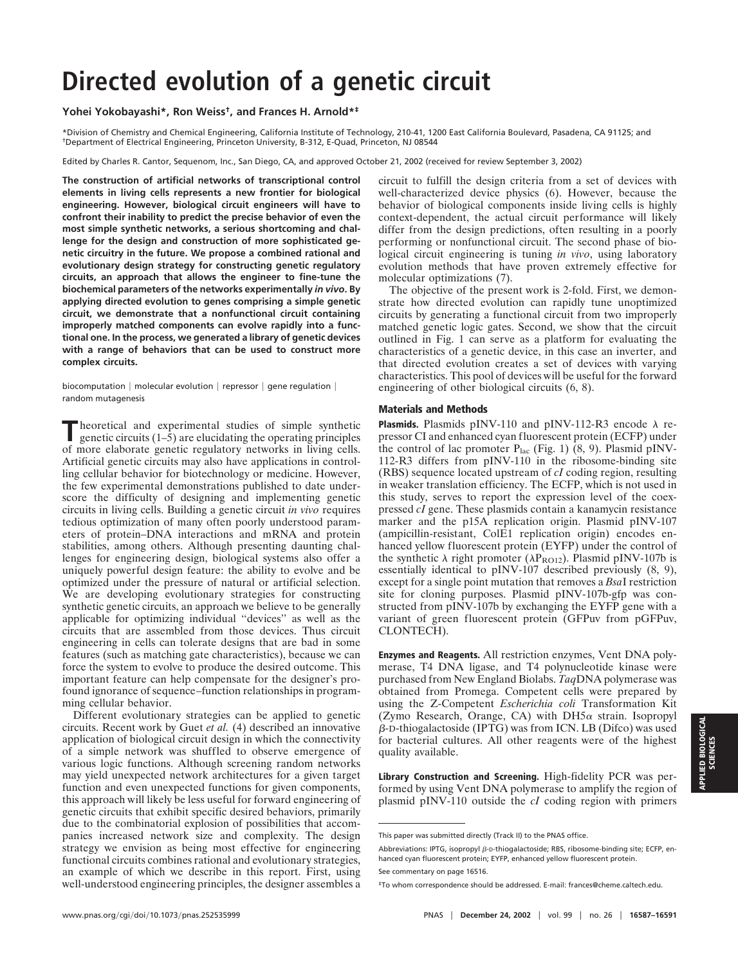## **Directed evolution of a genetic circuit**

## **Yohei Yokobayashi\*, Ron Weiss†, and Frances H. Arnold\*‡**

\*Division of Chemistry and Chemical Engineering, California Institute of Technology, 210-41, 1200 East California Boulevard, Pasadena, CA 91125; and †Department of Electrical Engineering, Princeton University, B-312, E-Quad, Princeton, NJ 08544

Edited by Charles R. Cantor, Sequenom, Inc., San Diego, CA, and approved October 21, 2002 (received for review September 3, 2002)

**The construction of artificial networks of transcriptional control elements in living cells represents a new frontier for biological engineering. However, biological circuit engineers will have to confront their inability to predict the precise behavior of even the most simple synthetic networks, a serious shortcoming and challenge for the design and construction of more sophisticated genetic circuitry in the future. We propose a combined rational and evolutionary design strategy for constructing genetic regulatory circuits, an approach that allows the engineer to fine-tune the biochemical parameters of the networks experimentally** *in vivo***. By applying directed evolution to genes comprising a simple genetic circuit, we demonstrate that a nonfunctional circuit containing improperly matched components can evolve rapidly into a functional one. In the process, we generated a library of genetic devices with a range of behaviors that can be used to construct more complex circuits.**

biocomputation  $|$  molecular evolution  $|$  repressor  $|$  gene regulation  $|$ random mutagenesis

Theoretical and experimental studies of simple synthetic genetic circuits (1–5) are elucidating the operating principles of more elaborate genetic regulatory networks in living cells. Artificial genetic circuits may also have applications in controlling cellular behavior for biotechnology or medicine. However, the few experimental demonstrations published to date underscore the difficulty of designing and implementing genetic circuits in living cells. Building a genetic circuit *in vivo* requires tedious optimization of many often poorly understood parameters of protein–DNA interactions and mRNA and protein stabilities, among others. Although presenting daunting challenges for engineering design, biological systems also offer a uniquely powerful design feature: the ability to evolve and be optimized under the pressure of natural or artificial selection. We are developing evolutionary strategies for constructing synthetic genetic circuits, an approach we believe to be generally applicable for optimizing individual ''devices'' as well as the circuits that are assembled from those devices. Thus circuit engineering in cells can tolerate designs that are bad in some features (such as matching gate characteristics), because we can force the system to evolve to produce the desired outcome. This important feature can help compensate for the designer's profound ignorance of sequence–function relationships in programming cellular behavior.

Different evolutionary strategies can be applied to genetic circuits. Recent work by Guet *et al.* (4) described an innovative application of biological circuit design in which the connectivity of a simple network was shuffled to observe emergence of various logic functions. Although screening random networks may yield unexpected network architectures for a given target function and even unexpected functions for given components, this approach will likely be less useful for forward engineering of genetic circuits that exhibit specific desired behaviors, primarily due to the combinatorial explosion of possibilities that accompanies increased network size and complexity. The design strategy we envision as being most effective for engineering functional circuits combines rational and evolutionary strategies, an example of which we describe in this report. First, using well-understood engineering principles, the designer assembles a

circuit to fulfill the design criteria from a set of devices with well-characterized device physics (6). However, because the behavior of biological components inside living cells is highly context-dependent, the actual circuit performance will likely differ from the design predictions, often resulting in a poorly performing or nonfunctional circuit. The second phase of biological circuit engineering is tuning *in vivo*, using laboratory evolution methods that have proven extremely effective for molecular optimizations (7).

The objective of the present work is 2-fold. First, we demonstrate how directed evolution can rapidly tune unoptimized circuits by generating a functional circuit from two improperly matched genetic logic gates. Second, we show that the circuit outlined in Fig. 1 can serve as a platform for evaluating the characteristics of a genetic device, in this case an inverter, and that directed evolution creates a set of devices with varying characteristics. This pool of devices will be useful for the forward engineering of other biological circuits (6, 8).

## **Materials and Methods**

**Plasmids.** Plasmids pINV-110 and pINV-112-R3 encode  $\lambda$  repressor CI and enhanced cyan fluorescent protein (ECFP) under the control of lac promoter  $P_{\text{lac}}$  (Fig. 1) (8, 9). Plasmid pINV-112-R3 differs from pINV-110 in the ribosome-binding site (RBS) sequence located upstream of *cI* coding region, resulting in weaker translation efficiency. The ECFP, which is not used in this study, serves to report the expression level of the coexpressed *cI* gene. These plasmids contain a kanamycin resistance marker and the p15A replication origin. Plasmid pINV-107 (ampicillin-resistant, ColE1 replication origin) encodes enhanced yellow fluorescent protein (EYFP) under the control of the synthetic  $\lambda$  right promoter ( $\lambda P_{\text{RO12}}$ ). Plasmid pINV-107b is essentially identical to pINV-107 described previously (8, 9), except for a single point mutation that removes a *Bsa*I restriction site for cloning purposes. Plasmid pINV-107b-gfp was constructed from pINV-107b by exchanging the EYFP gene with a variant of green fluorescent protein (GFPuv from pGFPuv, CLONTECH).

**Enzymes and Reagents.** All restriction enzymes, Vent DNA polymerase, T4 DNA ligase, and T4 polynucleotide kinase were purchased from New England Biolabs. *Taq*DNA polymerase was obtained from Promega. Competent cells were prepared by using the Z-Competent *Escherichia coli* Transformation Kit (Zymo Research, Orange, CA) with  $DH5\alpha$  strain. Isopropyl  $\beta$ -D-thiogalactoside (IPTG) was from ICN. LB (Difco) was used for bacterial cultures. All other reagents were of the highest quality available.

**Library Construction and Screening.** High-fidelity PCR was performed by using Vent DNA polymerase to amplify the region of plasmid pINV-110 outside the *cI* coding region with primers

Abbreviations: IPTG, isopropyl  $\beta$ -D-thiogalactoside; RBS, ribosome-binding site; ECFP, enhanced cyan fluorescent protein; EYFP, enhanced yellow fluorescent protein.

This paper was submitted directly (Track II) to the PNAS office.

See commentary on page 16516.

<sup>‡</sup>To whom correspondence should be addressed. E-mail: frances@cheme.caltech.edu.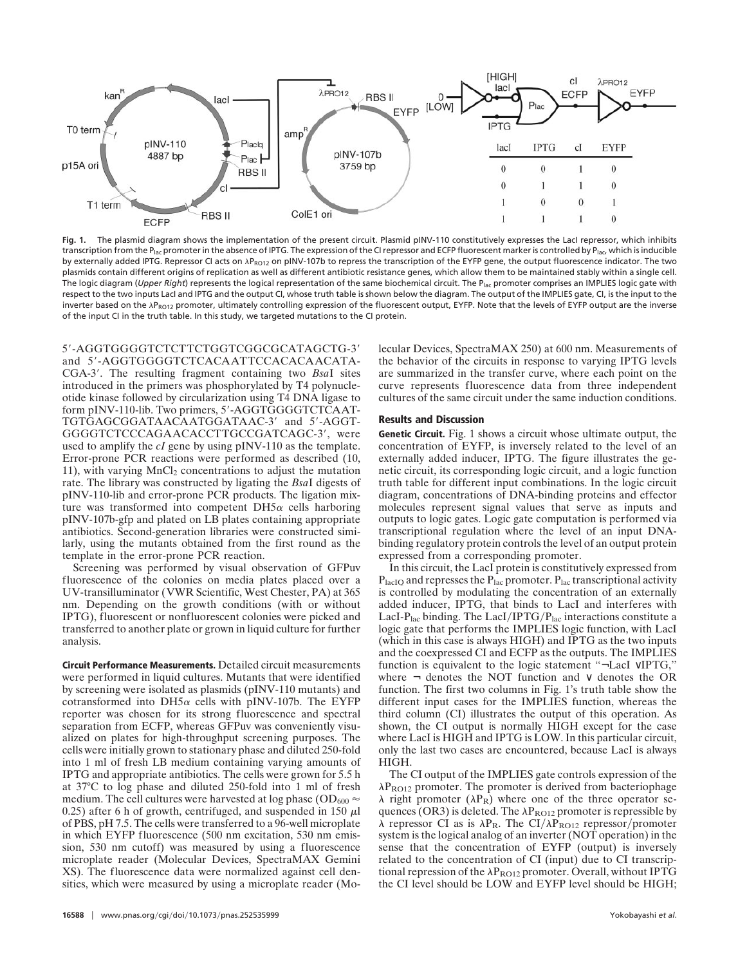

Fig. 1. The plasmid diagram shows the implementation of the present circuit. Plasmid pINV-110 constitutively expresses the LacI repressor, which inhibits transcription from the P<sub>lac</sub> promoter in the absence of IPTG. The expression of the CI repressor and ECFP fluorescent marker is controlled by P<sub>lac</sub>, which is inducible by externally added IPTG. Repressor CI acts on  $\lambda P_{RO12}$  on pINV-107b to repress the transcription of the EYFP gene, the output fluorescence indicator. The two plasmids contain different origins of replication as well as different antibiotic resistance genes, which allow them to be maintained stably within a single cell. The logic diagram (*Upper Right*) represents the logical representation of the same biochemical circuit. The Plac promoter comprises an IMPLIES logic gate with respect to the two inputs LacI and IPTG and the output CI, whose truth table is shown below the diagram. The output of the IMPLIES gate, CI, is the input to the inverter based on the APRO12 promoter, ultimately controlling expression of the fluorescent output, EYFP. Note that the levels of EYFP output are the inverse of the input CI in the truth table. In this study, we targeted mutations to the CI protein.

5-AGGTGGGGTCTCTTCTGGTCGGCGCATAGCTG-3 and 5'-AGGTGGGGTCTCACAATTCCACACAACATA-CGA-3. The resulting fragment containing two *Bsa*I sites introduced in the primers was phosphorylated by T4 polynucleotide kinase followed by circularization using T4 DNA ligase to form pINV-110-lib. Two primers, 5'-AGGTGGGGTCTCAAT-TGTGAGCGGATAACAATGGATAAC-3' and 5'-AGGT-GGGGTCTCCCAGAACACCTTGCCGATCAGC-3, were used to amplify the *cI* gene by using pINV-110 as the template. Error-prone PCR reactions were performed as described (10, 11), with varying  $MnCl<sub>2</sub>$  concentrations to adjust the mutation rate. The library was constructed by ligating the *Bsa*I digests of pINV-110-lib and error-prone PCR products. The ligation mixture was transformed into competent  $DH5\alpha$  cells harboring pINV-107b-gfp and plated on LB plates containing appropriate antibiotics. Second-generation libraries were constructed similarly, using the mutants obtained from the first round as the template in the error-prone PCR reaction.

Screening was performed by visual observation of GFPuv fluorescence of the colonies on media plates placed over a UV-transilluminator (VWR Scientific, West Chester, PA) at 365 nm. Depending on the growth conditions (with or without IPTG), fluorescent or nonfluorescent colonies were picked and transferred to another plate or grown in liquid culture for further analysis.

**Circuit Performance Measurements.** Detailed circuit measurements were performed in liquid cultures. Mutants that were identified by screening were isolated as plasmids (pINV-110 mutants) and cotransformed into  $DH5\alpha$  cells with pINV-107b. The EYFP reporter was chosen for its strong fluorescence and spectral separation from ECFP, whereas GFPuv was conveniently visualized on plates for high-throughput screening purposes. The cells were initially grown to stationary phase and diluted 250-fold into 1 ml of fresh LB medium containing varying amounts of IPTG and appropriate antibiotics. The cells were grown for 5.5 h at 37°C to log phase and diluted 250-fold into 1 ml of fresh medium. The cell cultures were harvested at log phase (OD $_{600}$   $\approx$ 0.25) after 6 h of growth, centrifuged, and suspended in 150  $\mu$ l of PBS, pH 7.5. The cells were transferred to a 96-well microplate in which EYFP fluorescence (500 nm excitation, 530 nm emission, 530 nm cutoff) was measured by using a fluorescence microplate reader (Molecular Devices, SpectraMAX Gemini XS). The fluorescence data were normalized against cell densities, which were measured by using a microplate reader (Molecular Devices, SpectraMAX 250) at 600 nm. Measurements of the behavior of the circuits in response to varying IPTG levels are summarized in the transfer curve, where each point on the curve represents fluorescence data from three independent cultures of the same circuit under the same induction conditions.

## **Results and Discussion**

**Genetic Circuit.** Fig. 1 shows a circuit whose ultimate output, the concentration of EYFP, is inversely related to the level of an externally added inducer, IPTG. The figure illustrates the genetic circuit, its corresponding logic circuit, and a logic function truth table for different input combinations. In the logic circuit diagram, concentrations of DNA-binding proteins and effector molecules represent signal values that serve as inputs and outputs to logic gates. Logic gate computation is performed via transcriptional regulation where the level of an input DNAbinding regulatory protein controls the level of an output protein expressed from a corresponding promoter.

In this circuit, the LacI protein is constitutively expressed from  $P<sub>lacIO</sub>$  and represses the  $P<sub>lac</sub>$  promoter.  $P<sub>lac</sub>$  transcriptional activity is controlled by modulating the concentration of an externally added inducer, IPTG, that binds to LacI and interferes with LacI- $P_{\text{lac}}$  binding. The LacI/IPTG/ $P_{\text{lac}}$  interactions constitute a logic gate that performs the IMPLIES logic function, with LacI (which in this case is always HIGH) and IPTG as the two inputs and the coexpressed CI and ECFP as the outputs. The IMPLIES function is equivalent to the logic statement ''¬LacI ∨IPTG,'' where  $\neg$  denotes the NOT function and  $\vee$  denotes the OR function. The first two columns in Fig. 1's truth table show the different input cases for the IMPLIES function, whereas the third column (CI) illustrates the output of this operation. As shown, the CI output is normally HIGH except for the case where LacI is HIGH and IPTG is LOW. In this particular circuit, only the last two cases are encountered, because LacI is always HIGH.

The CI output of the IMPLIES gate controls expression of the  $\lambda P_{\text{RO12}}$  promoter. The promoter is derived from bacteriophage  $\lambda$  right promoter ( $\lambda P_R$ ) where one of the three operator sequences (OR3) is deleted. The  $\lambda P_{\text{RO12}}$  promoter is repressible by  $\lambda$  repressor CI as is  $\lambda P_R$ . The CI/ $\lambda P_{RO12}$  repressor/promoter system is the logical analog of an inverter (NOT operation) in the sense that the concentration of EYFP (output) is inversely related to the concentration of CI (input) due to CI transcriptional repression of the  $\lambda P_{\text{RO12}}$  promoter. Overall, without IPTG the CI level should be LOW and EYFP level should be HIGH;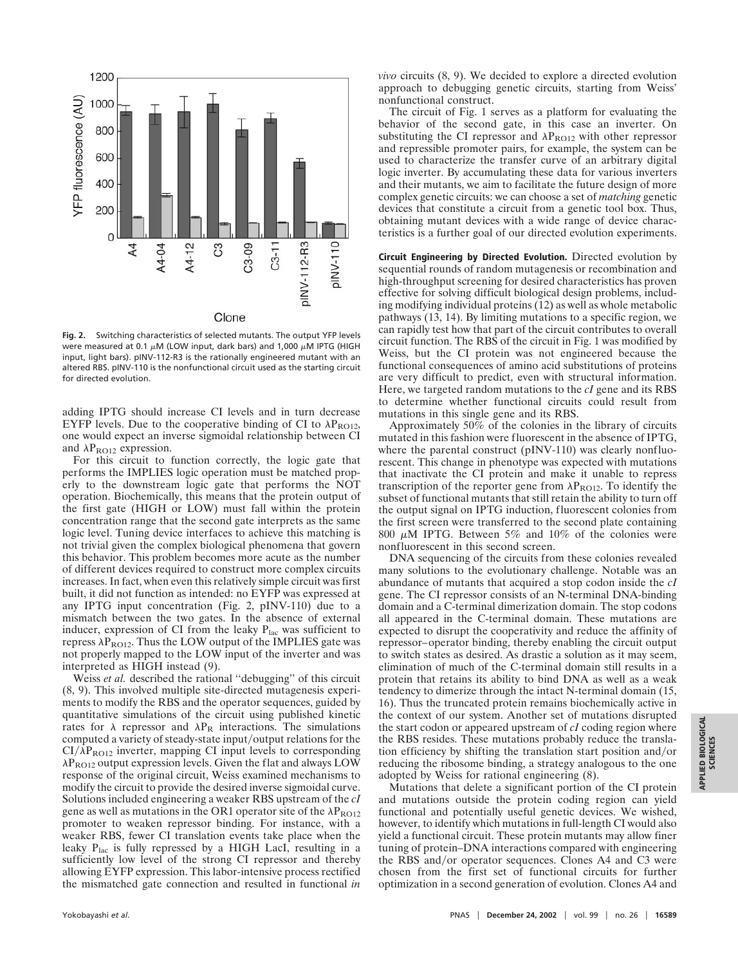

**Fig. 2.** Switching characteristics of selected mutants. The output YFP levels were measured at 0.1  $\mu$ M (LOW input, dark bars) and 1,000  $\mu$ M IPTG (HIGH input, light bars). pINV-112-R3 is the rationally engineered mutant with an altered RBS. pINV-110 is the nonfunctional circuit used as the starting circuit for directed evolution.

adding IPTG should increase CI levels and in turn decrease EYFP levels. Due to the cooperative binding of CI to  $\lambda P_{\text{ROI2}}$ , one would expect an inverse sigmoidal relationship between CI and  $\lambda P_{\text{RO12}}$  expression.

For this circuit to function correctly, the logic gate that performs the IMPLIES logic operation must be matched properly to the downstream logic gate that performs the NOT operation. Biochemically, this means that the protein output of the first gate (HIGH or LOW) must fall within the protein concentration range that the second gate interprets as the same logic level. Tuning device interfaces to achieve this matching is not trivial given the complex biological phenomena that govern this behavior. This problem becomes more acute as the number of different devices required to construct more complex circuits increases. In fact, when even this relatively simple circuit was first built, it did not function as intended: no EYFP was expressed at any IPTG input concentration (Fig. 2, pINV-110) due to a mismatch between the two gates. In the absence of external inducer, expression of CI from the leaky  $P<sub>lac</sub>$  was sufficient to repress  $\lambda P_{\text{RO12}}$ . Thus the LOW output of the IMPLIES gate was not properly mapped to the LOW input of the inverter and was interpreted as HIGH instead (9).

Weiss *et al.* described the rational "debugging" of this circuit (8, 9). This involved multiple site-directed mutagenesis experiments to modify the RBS and the operator sequences, guided by quantitative simulations of the circuit using published kinetic rates for  $\lambda$  repressor and  $\lambda P_R$  interactions. The simulations computed a variety of steady-state input/output relations for the  $CI/\lambda P_{\text{RO12}}$  inverter, mapping CI input levels to corresponding  $\lambda P_{\text{RO12}}$  output expression levels. Given the flat and always LOW response of the original circuit, Weiss examined mechanisms to modify the circuit to provide the desired inverse sigmoidal curve. Solutions included engineering a weaker RBS upstream of the *cI* gene as well as mutations in the OR1 operator site of the  $\lambda P_{\text{RO12}}$ promoter to weaken repressor binding. For instance, with a weaker RBS, fewer CI translation events take place when the leaky Plac is fully repressed by a HIGH LacI, resulting in a sufficiently low level of the strong CI repressor and thereby allowing EYFP expression. This labor-intensive process rectified the mismatched gate connection and resulted in functional *in*

*vivo* circuits (8, 9). We decided to explore a directed evolution approach to debugging genetic circuits, starting from Weiss' nonfunctional construct.

The circuit of Fig. 1 serves as a platform for evaluating the behavior of the second gate, in this case an inverter. On substituting the CI repressor and  $\lambda P_{\text{RO12}}$  with other repressor and repressible promoter pairs, for example, the system can be used to characterize the transfer curve of an arbitrary digital logic inverter. By accumulating these data for various inverters and their mutants, we aim to facilitate the future design of more complex genetic circuits: we can choose a set of *matching* genetic devices that constitute a circuit from a genetic tool box. Thus, obtaining mutant devices with a wide range of device characteristics is a further goal of our directed evolution experiments.

**Circuit Engineering by Directed Evolution.** Directed evolution by sequential rounds of random mutagenesis or recombination and high-throughput screening for desired characteristics has proven effective for solving difficult biological design problems, including modifying individual proteins (12) as well as whole metabolic pathways (13, 14). By limiting mutations to a specific region, we can rapidly test how that part of the circuit contributes to overall circuit function. The RBS of the circuit in Fig. 1 was modified by Weiss, but the CI protein was not engineered because the functional consequences of amino acid substitutions of proteins are very difficult to predict, even with structural information. Here, we targeted random mutations to the *cI* gene and its RBS to determine whether functional circuits could result from mutations in this single gene and its RBS.

Approximately 50% of the colonies in the library of circuits mutated in this fashion were fluorescent in the absence of IPTG, where the parental construct (pINV-110) was clearly nonfluorescent. This change in phenotype was expected with mutations that inactivate the CI protein and make it unable to repress transcription of the reporter gene from  $\lambda P_{\text{RO12}}$ . To identify the subset of functional mutants that still retain the ability to turn off the output signal on IPTG induction, fluorescent colonies from the first screen were transferred to the second plate containing 800  $\mu$ M IPTG. Between 5% and 10% of the colonies were nonfluorescent in this second screen.

DNA sequencing of the circuits from these colonies revealed many solutions to the evolutionary challenge. Notable was an abundance of mutants that acquired a stop codon inside the *cI* gene. The CI repressor consists of an N-terminal DNA-binding domain and a C-terminal dimerization domain. The stop codons all appeared in the C-terminal domain. These mutations are expected to disrupt the cooperativity and reduce the affinity of repressor–operator binding, thereby enabling the circuit output to switch states as desired. As drastic a solution as it may seem, elimination of much of the C-terminal domain still results in a protein that retains its ability to bind DNA as well as a weak tendency to dimerize through the intact N-terminal domain (15, 16). Thus the truncated protein remains biochemically active in the context of our system. Another set of mutations disrupted the start codon or appeared upstream of *cI* coding region where the RBS resides. These mutations probably reduce the translation efficiency by shifting the translation start position and/or reducing the ribosome binding, a strategy analogous to the one adopted by Weiss for rational engineering (8).

Mutations that delete a significant portion of the CI protein and mutations outside the protein coding region can yield functional and potentially useful genetic devices. We wished, however, to identify which mutations in full-length CI would also yield a functional circuit. These protein mutants may allow finer tuning of protein–DNA interactions compared with engineering the RBS and/or operator sequences. Clones A4 and C3 were chosen from the first set of functional circuits for further optimization in a second generation of evolution. Clones A4 and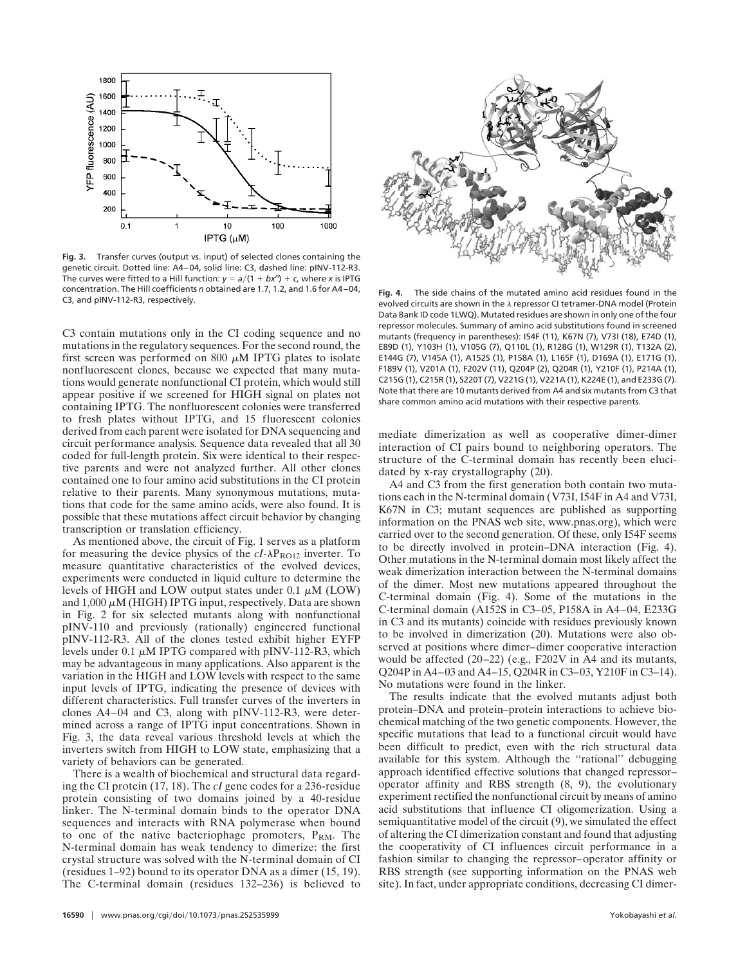

**Fig. 3.** Transfer curves (output vs. input) of selected clones containing the genetic circuit. Dotted line: A4–04, solid line: C3, dashed line: pINV-112-R3. The curves were fitted to a Hill function:  $y = a/(1 + bx^n) + c$ , where *x* is IPTG concentration. The Hill coefficients *n* obtained are 1.7, 1.2, and 1.6 for A4–04, C3, and pINV-112-R3, respectively. **Fig. 4.** The side chains of the mutated amino acid residues found in the

C3 contain mutations only in the CI coding sequence and no mutations in the regulatory sequences. For the second round, the first screen was performed on 800  $\mu$ M IPTG plates to isolate nonfluorescent clones, because we expected that many mutations would generate nonfunctional CI protein, which would still appear positive if we screened for HIGH signal on plates not containing IPTG. The nonfluorescent colonies were transferred to fresh plates without IPTG, and 15 fluorescent colonies derived from each parent were isolated for DNA sequencing and circuit performance analysis. Sequence data revealed that all 30 coded for full-length protein. Six were identical to their respective parents and were not analyzed further. All other clones contained one to four amino acid substitutions in the CI protein relative to their parents. Many synonymous mutations, mutations that code for the same amino acids, were also found. It is possible that these mutations affect circuit behavior by changing transcription or translation efficiency.

As mentioned above, the circuit of Fig. 1 serves as a platform for measuring the device physics of the  $cI - \lambda P_{\text{ROI2}}$  inverter. To measure quantitative characteristics of the evolved devices, experiments were conducted in liquid culture to determine the levels of HIGH and LOW output states under  $0.1 \mu M$  (LOW) and  $1,000 \mu$ M (HIGH) IPTG input, respectively. Data are shown in Fig. 2 for six selected mutants along with nonfunctional pINV-110 and previously (rationally) engineered functional pINV-112-R3. All of the clones tested exhibit higher EYFP levels under 0.1  $\mu$ M IPTG compared with pINV-112-R3, which may be advantageous in many applications. Also apparent is the variation in the HIGH and LOW levels with respect to the same input levels of IPTG, indicating the presence of devices with different characteristics. Full transfer curves of the inverters in clones A4–04 and C3, along with pINV-112-R3, were determined across a range of IPTG input concentrations. Shown in Fig. 3, the data reveal various threshold levels at which the inverters switch from HIGH to LOW state, emphasizing that a variety of behaviors can be generated.

There is a wealth of biochemical and structural data regarding the CI protein (17, 18). The *cI* gene codes for a 236-residue protein consisting of two domains joined by a 40-residue linker. The N-terminal domain binds to the operator DNA sequences and interacts with RNA polymerase when bound to one of the native bacteriophage promoters,  $P_{RM}$ . The N-terminal domain has weak tendency to dimerize: the first crystal structure was solved with the N-terminal domain of CI (residues 1–92) bound to its operator DNA as a dimer (15, 19). The C-terminal domain (residues 132–236) is believed to



evolved circuits are shown in the  $\lambda$  repressor CI tetramer-DNA model (Protein Data Bank ID code 1LWQ). Mutated residues are shown in only one of the four repressor molecules. Summary of amino acid substitutions found in screened mutants (frequency in parentheses): I54F (11), K67N (7), V73I (18), E74D (1), E89D (1), Y103H (1), V105G (7), Q110L (1), R128G (1), W129R (1), T132A (2), E144G (7), V145A (1), A152S (1), P158A (1), L165F (1), D169A (1), E171G (1), F189V (1), V201A (1), F202V (11), Q204P (2), Q204R (1), Y210F (1), P214A (1), C215G (1), C215R (1), S220T (7), V221G (1), V221A (1), K224E (1), and E233G (7). Note that there are 10 mutants derived from A4 and six mutants from C3 that share common amino acid mutations with their respective parents.

mediate dimerization as well as cooperative dimer-dimer interaction of CI pairs bound to neighboring operators. The structure of the C-terminal domain has recently been elucidated by x-ray crystallography (20).

A4 and C3 from the first generation both contain two mutations each in the N-terminal domain (V73I, I54F in A4 and V73I, K67N in C3; mutant sequences are published as supporting information on the PNAS web site, www.pnas.org), which were carried over to the second generation. Of these, only I54F seems to be directly involved in protein–DNA interaction (Fig. 4). Other mutations in the N-terminal domain most likely affect the weak dimerization interaction between the N-terminal domains of the dimer. Most new mutations appeared throughout the C-terminal domain (Fig. 4). Some of the mutations in the C-terminal domain (A152S in C3–05, P158A in A4–04, E233G in C3 and its mutants) coincide with residues previously known to be involved in dimerization (20). Mutations were also observed at positions where dimer–dimer cooperative interaction would be affected (20–22) (e.g., F202V in A4 and its mutants, Q204P in A4–03 and A4–15, Q204R in C3–03, Y210F in C3–14). No mutations were found in the linker.

The results indicate that the evolved mutants adjust both protein–DNA and protein–protein interactions to achieve biochemical matching of the two genetic components. However, the specific mutations that lead to a functional circuit would have been difficult to predict, even with the rich structural data available for this system. Although the ''rational'' debugging approach identified effective solutions that changed repressor– operator affinity and RBS strength (8, 9), the evolutionary experiment rectified the nonfunctional circuit by means of amino acid substitutions that influence CI oligomerization. Using a semiquantitative model of the circuit (9), we simulated the effect of altering the CI dimerization constant and found that adjusting the cooperativity of CI influences circuit performance in a fashion similar to changing the repressor–operator affinity or RBS strength (see supporting information on the PNAS web site). In fact, under appropriate conditions, decreasing CI dimer